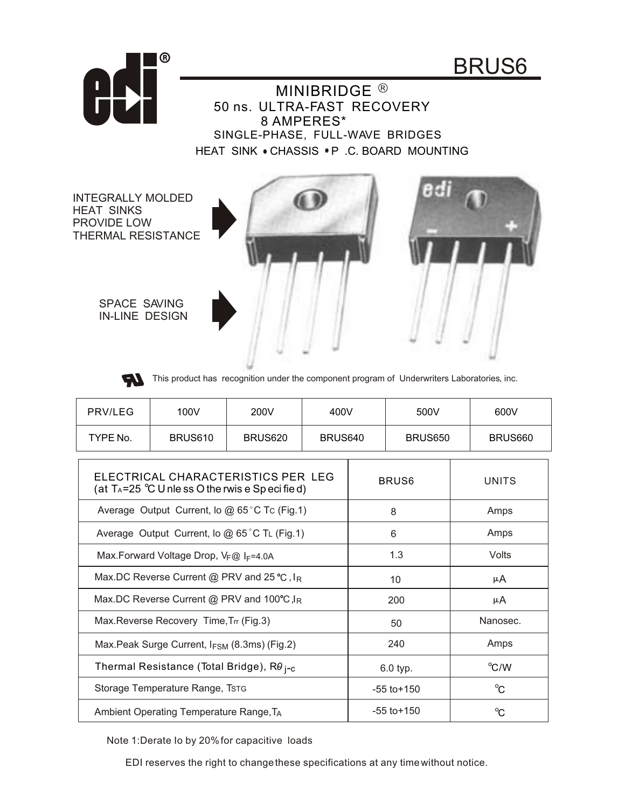



INTEGRALLY MOLDED HEAT SINKS PROVIDE LOW THERMAL RESISTANCE

 $^{\circledR}$ 







This product has recognition under the component program of Underwriters Laboratories, inc.

| PRV/LEG  | 100V    | 200V    | 400V    | 500V    | 600V    |
|----------|---------|---------|---------|---------|---------|
| TYPE No. | BRUS610 | BRUS620 | BRUS640 | BRUS650 | BRUS660 |

| ELECTRICAL CHARACTERISTICS PER LEG<br>(at T <sub>A</sub> =25 $^{\circ}$ C U nle ss O the rwis e Sp eci fie d) | BRUS <sub>6</sub> | <b>UNITS</b> |
|---------------------------------------------------------------------------------------------------------------|-------------------|--------------|
| Average Output Current, lo @ 65 °C Tc (Fig.1)                                                                 | 8                 | Amps         |
| Average Output Current, lo $@$ 65°C TL (Fig.1)                                                                | 6                 | Amps         |
| Max.Forward Voltage Drop, VF@ IF=4.0A                                                                         | 1.3               | Volts        |
| Max.DC Reverse Current @ PRV and 25 °C, $I_R$                                                                 | 10                | μA           |
| Max.DC Reverse Current @ PRV and 100°C, $I_R$                                                                 | 200               | μA           |
| Max. Reverse Recovery Time, Trr (Fig.3)                                                                       | 50                | Nanosec.     |
| Max. Peak Surge Current, $I_{FSM}$ (8.3ms) (Fig.2)                                                            | 240               | Amps         |
| Thermal Resistance (Total Bridge), R $\theta_{\text{i-c}}$                                                    | 6.0 typ.          | °C/W         |
| Storage Temperature Range, Tstg                                                                               | $-55$ to $+150$   | $^{\circ}C$  |
| Ambient Operating Temperature Range, TA                                                                       | $-55$ to $+150$   | $^{\circ}C$  |

Note 1:Derate Io by 20%for capacitive loads

EDI reserves the right to changethese specifications at any timewithout notice.